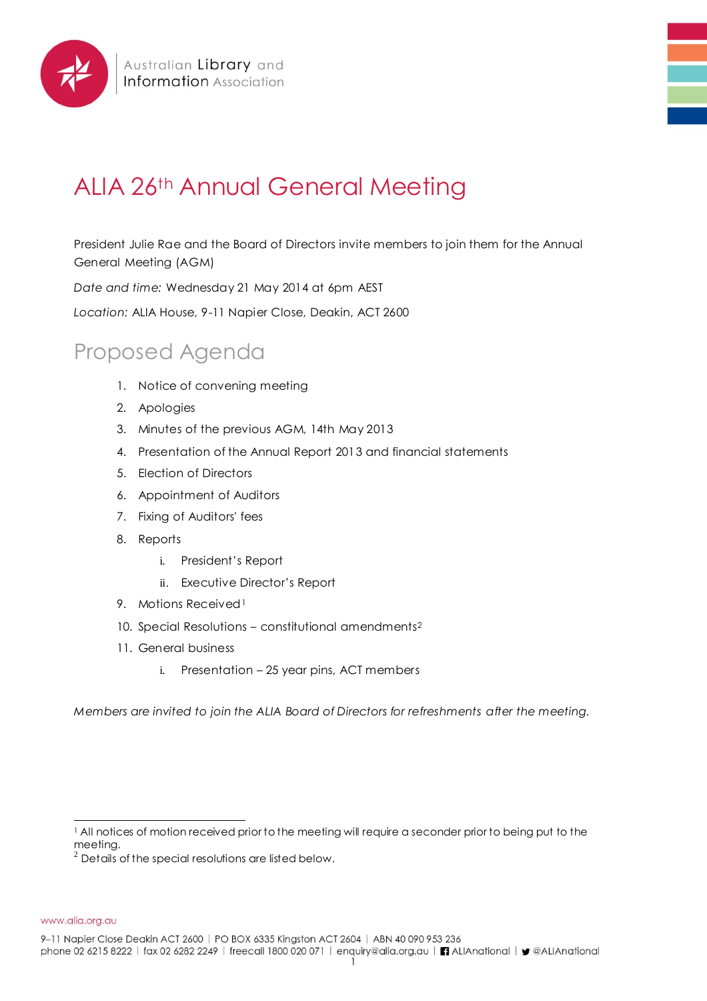

# ALIA 26th Annual General Meeting

President Julie Rae and the Board of Directors invite members to join them for the Annual General Meeting (AGM)

*Date and time:* Wednesday 21 May 2014 at 6pm AEST

*Location:* ALIA House, 9-11 Napier Close, Deakin, ACT 2600

# Proposed Agenda

- 1. Notice of convening meeting
- 2. Apologies
- 3. Minutes of the previous AGM, 14th May 2013
- 4. Presentation of the Annual Report 2013 and financial statements
- 5. Election of Directors
- 6. Appointment of Auditors
- 7. Fixing of Auditors' fees
- 8. Reports
	- i. President's Report
	- ii. Executive Director's Report
- 9. Motions Received<sup>1</sup>
- 10. Special Resolutions constitutional amendments<sup>2</sup>
- 11. General business
	- i. Presentation 25 year pins, ACT members

*Members are invited to join the ALIA Board of Directors for refreshments after the meeting.* 

www.alia.org.au

9-11 Napier Close Deakin ACT 2600 | PO BOX 6335 Kingston ACT 2604 | ABN 40 090 953 236

phone 02 6215 8222 | fax 02 6282 2249 | freecall 1800 020 071 | enquiry@alia.org.au | | ALIAnational | y @ALIAnational

<sup>&</sup>lt;sup>1</sup> All notices of motion received prior to the meeting will require a seconder prior to being put to the meeting.

 $2$  Details of the special resolutions are listed below.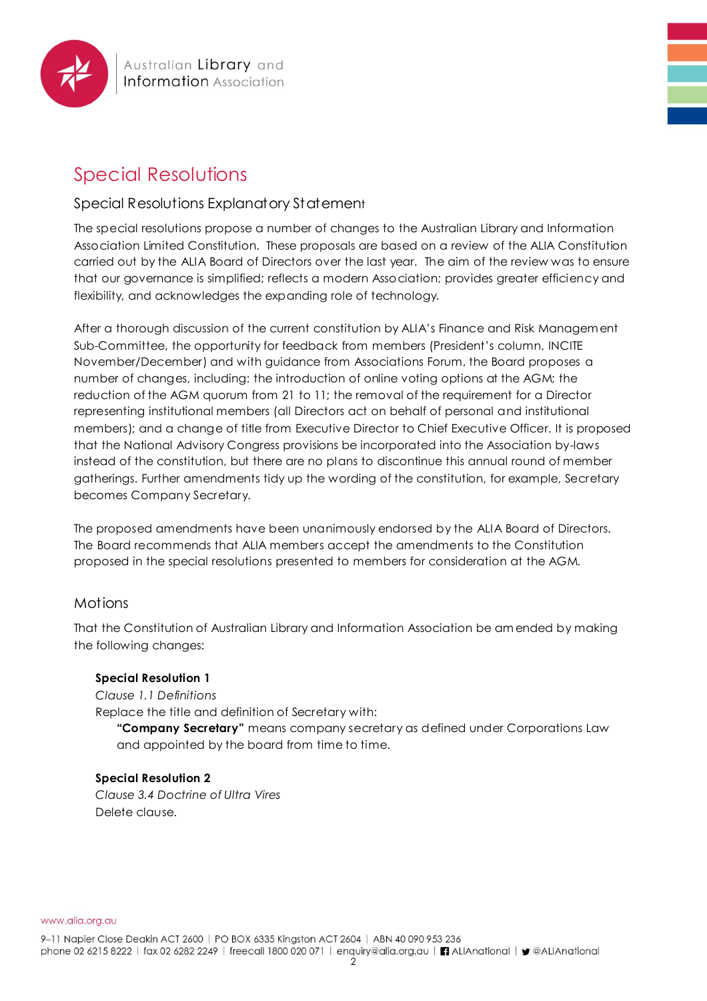

# Special Resolutions Explanatory Statement

The special resolutions propose a number of changes to the Australian Library and Information Association Limited Constitution. These proposals are based on a review of the ALIA Constitution carried out by the ALIA Board of Directors over the last year. The aim of the review was to ensure that our governance is simplified; reflects a modern Association; provides greater efficiency and flexibility, and acknowledges the expanding role of technology.

After a thorough discussion of the current constitution by ALIA's Finance and Risk Managem ent Sub-Committee, the opportunity for feedback from members (President's column, INCITE November/December) and with guidance from Associations Forum, the Board proposes a number of changes, including: the introduction of online voting options at the AGM; the reduction of the AGM quorum from 21 to 11; the removal of the requirement for a Director representing institutional members (all Directors act on behalf of personal and institutional members); and a change of title from Executive Director to Chief Executive Officer. It is proposed that the National Advisory Congress provisions be incorporated into the Association by-laws instead of the constitution, but there are no plans to discontinue this annual round of member gatherings. Further amendments tidy up the wording of the constitution, for example, Secretary becomes Company Secretary.

The proposed amendments have been unanimously endorsed by the ALIA Board of Directors. The Board recommends that ALIA members accept the amendments to the Constitution proposed in the special resolutions presented to members for consideration at the AGM.

# **Motions**

That the Constitution of Australian Library and Information Association be am ended by making the following changes:

### **Special Resolution 1**

*Clause 1.1 Definitions* Replace the title and definition of Secretary with:

**"Company Secretary"** means company secretary as defined under Corporations Law and appointed by the board from time to time.

### **Special Resolution 2**

*Clause 3.4 Doctrine of Ultra Vires* Delete clause.

www.alia.org.au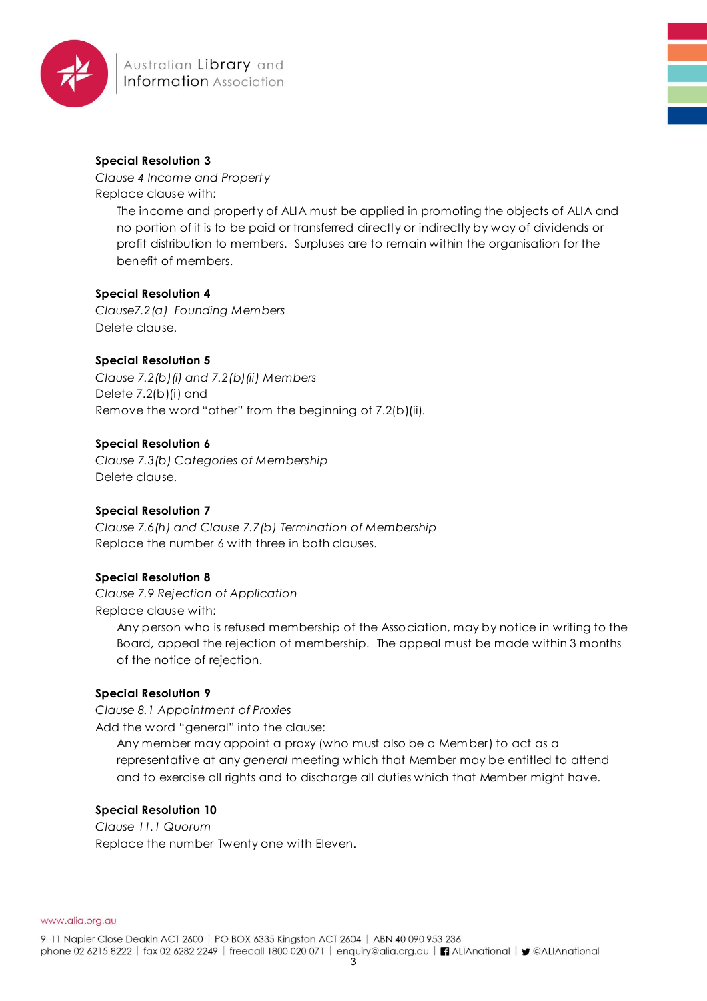

*Clause 4 Income and Property* Replace clause with:

> The income and property of ALIA must be applied in promoting the objects of ALIA and no portion of it is to be paid or transferred directly or indirectly by way of dividends or profit distribution to members. Surpluses are to remain within the organisation for the benefit of members.

#### **Special Resolution 4**

*Clause7.2(a) Founding Members* Delete clause.

#### **Special Resolution 5**

*Clause 7.2(b)(i) and 7.2(b)(ii) Members* Delete 7.2(b)(i) and Remove the word "other" from the beginning of 7.2(b)(ii).

#### **Special Resolution 6**

*Clause 7.3(b) Categories of Membership* Delete clause.

#### **Special Resolution 7**

*Clause 7.6(h) and Clause 7.7(b) Termination of Membership* Replace the number 6 with three in both clauses.

#### **Special Resolution 8**

*Clause 7.9 Rejection of Application* Replace clause with:

> Any person who is refused membership of the Association, may by notice in writing to the Board, appeal the rejection of membership. The appeal must be made within 3 months of the notice of rejection.

#### **Special Resolution 9**

*Clause 8.1 Appointment of Proxies*

Add the word "general" into the clause:

Any member may appoint a proxy (who must also be a Member) to act as a representative at any *general* meeting which that Member may be entitled to attend and to exercise all rights and to discharge all duties which that Member might have.

#### **Special Resolution 10**

*Clause 11.1 Quorum* Replace the number Twenty one with Eleven.

www.alia.org.au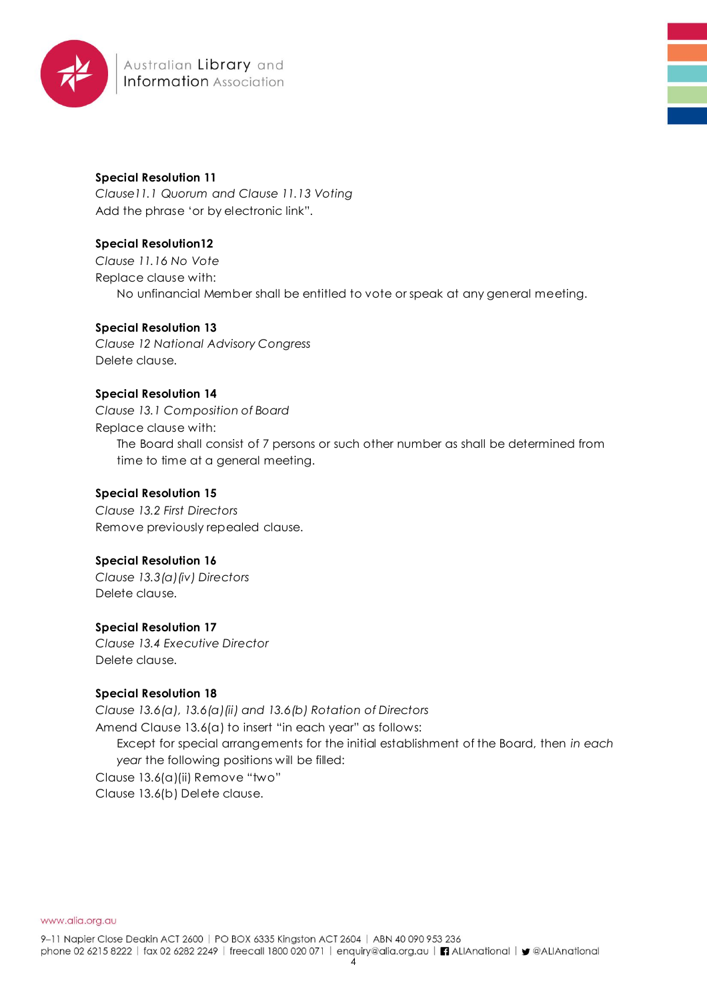

*Clause11.1 Quorum and Clause 11.13 Voting* Add the phrase 'or by electronic link".

# **Special Resolution12**

*Clause 11.16 No Vote* Replace clause with: No unfinancial Member shall be entitled to vote or speak at any general meeting.

# **Special Resolution 13**

*Clause 12 National Advisory Congress* Delete clause.

# **Special Resolution 14**

*Clause 13.1 Composition of Board* Replace clause with: The Board shall consist of 7 persons or such other number as shall be determined from time to time at a general meeting.

### **Special Resolution 15**

*Clause 13.2 First Directors* Remove previously repealed clause.

# **Special Resolution 16**

*Clause 13.3(a)(iv) Directors* Delete clause.

# **Special Resolution 17**

*Clause 13.4 Executive Director* Delete clause.

### **Special Resolution 18**

*Clause 13.6(a), 13.6(a)(ii) and 13.6(b) Rotation of Directors*

Amend Clause 13.6(a) to insert "in each year" as follows:

Except for special arrangements for the initial establishment of the Board, then *in each year* the following positions will be filled:

Clause 13.6(a)(ii) Remove "two"

Clause 13.6(b) Delete clause.

www.alia.org.au

9-11 Napier Close Deakin ACT 2600 | PO BOX 6335 Kingston ACT 2604 | ABN 40 090 953 236 phone 02 6215 8222 | fax 02 6282 2249 | freecall 1800 020 071 | enquiry@alia.org.au | | ALIAnational | y @ALIAnational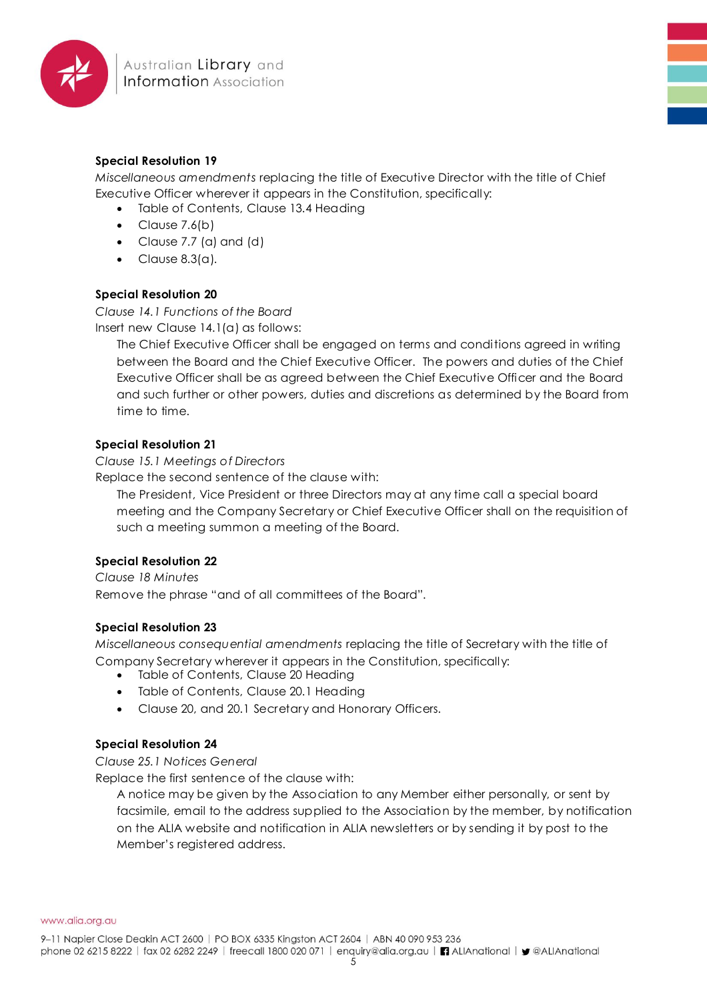

*Miscellaneous amendments* replacing the title of Executive Director with the title of Chief Executive Officer wherever it appears in the Constitution, specifically:

- Table of Contents, Clause 13.4 Heading
- Clause 7.6(b)
- Clause  $7.7$  (a) and (d)
- $\bullet$  Clause 8.3(a).

### **Special Resolution 20**

*Clause 14.1 Functions of the Board*

Insert new Clause 14.1(a) as follows:

The Chief Executive Officer shall be engaged on terms and conditions agreed in writing between the Board and the Chief Executive Officer. The powers and duties of the Chief Executive Officer shall be as agreed between the Chief Executive Officer and the Board and such further or other powers, duties and discretions as determined by the Board from time to time.

#### **Special Resolution 21**

*Clause 15.1 Meetings of Directors*

Replace the second sentence of the clause with:

The President, Vice President or three Directors may at any time call a special board meeting and the Company Secretary or Chief Executive Officer shall on the requisition of such a meeting summon a meeting of the Board.

### **Special Resolution 22**

*Clause 18 Minutes* Remove the phrase "and of all committees of the Board".

### **Special Resolution 23**

*Miscellaneous consequential amendments* replacing the title of Secretary with the title of Company Secretary wherever it appears in the Constitution, specifically:

- Table of Contents, Clause 20 Heading
- Table of Contents, Clause 20.1 Heading
- Clause 20, and 20.1 Secretary and Honorary Officers.

### **Special Resolution 24**

#### *Clause 25.1 Notices General*

Replace the first sentence of the clause with:

A notice may be given by the Association to any Member either personally, or sent by facsimile, email to the address supplied to the Association by the member, by notification on the ALIA website and notification in ALIA newsletters or by sending it by post to the Member's registered address.

www.alia.org.au

9-11 Napier Close Deakin ACT 2600 | PO BOX 6335 Kingston ACT 2604 | ABN 40 090 953 236

phone 02 6215 8222 | fax 02 6282 2249 | freecall 1800 020 071 | enquiry@alia.org.au | | ALIAnational | y @ALIAnational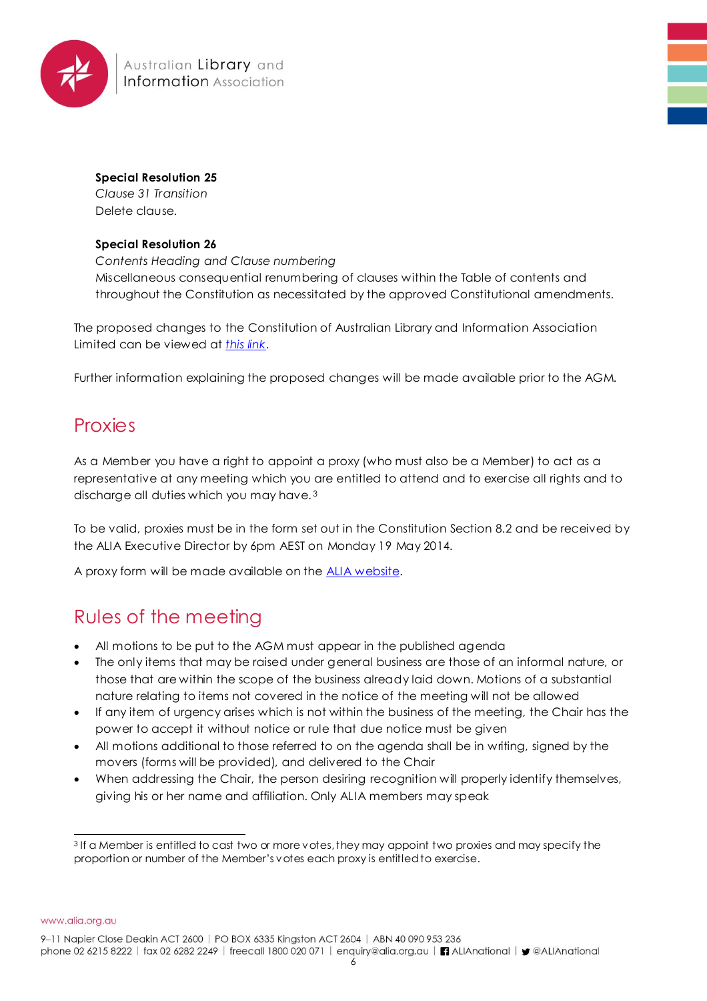

*Clause 31 Transition* Delete clause.

#### **Special Resolution 26**

*Contents Heading and Clause numbering* Miscellaneous consequential renumbering of clauses within the Table of contents and throughout the Constitution as necessitated by the approved Constitutional amendments.

The proposed changes to the Constitution of Australian Library and Information Association Limited can be viewed at *[this link](https://www.alia.org.au/sites/default/files/documents/CONSTITUTION%20%20Ver%204.3%20Nov%202013%20FINAL%20AGM%20TRACKED%20CHANGES.pdf)*.

Further information explaining the proposed changes will be made available prior to the AGM.

# **Proxies**

As a Member you have a right to appoint a proxy (who must also be a Member) to act as a representative at any meeting which you are entitled to attend and to exercise all rights and to discharge all duties which you may have. <sup>3</sup>

To be valid, proxies must be in the form set out in the Constitution Section 8.2 and be received by the ALIA Executive Director by 6pm AEST on Monday 19 May 2014.

A proxy form will be made available on the [ALIA website.](https://www.alia.org.au/agm)

# Rules of the meeting

- All motions to be put to the AGM must appear in the published agenda
- The only items that may be raised under general business are those of an informal nature, or those that are within the scope of the business already laid down. Motions of a substantial nature relating to items not covered in the notice of the meeting will not be allowed
- If any item of urgency arises which is not within the business of the meeting, the Chair has the power to accept it without notice or rule that due notice must be given
- All motions additional to those referred to on the agenda shall be in writing, signed by the movers (forms will be provided), and delivered to the Chair
- When addressing the Chair, the person desiring recognition will properly identify themselves, giving his or her name and affiliation. Only ALIA members may speak

www.alia.org.au

9-11 Napier Close Deakin ACT 2600 | PO BOX 6335 Kingston ACT 2604 | ABN 40 090 953 236

 <sup>3</sup> If a Member is entitled to cast two or more votes, they may appoint two proxies and may specify the proportion or number of the Member's votes each proxy is entitled to exercise.